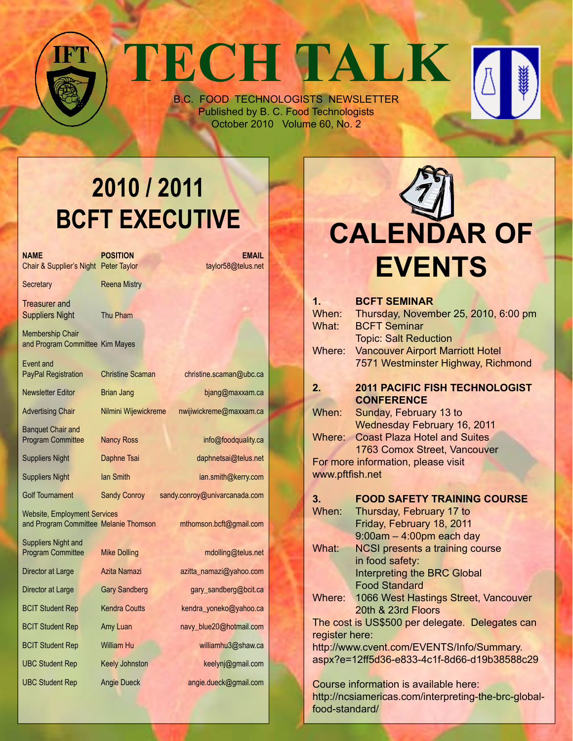# **TECH TALK**

B.C. FOOD TECHNOLOGISTS NEWSLETTER Published by B. C. Food Technologists October 2010 Volume 60, No. 2

## **2010 / 2011 BCFT EXECUTIVE**

| <b>NAME</b><br>Chair & Supplier's Night Peter Taylor                                                    | <b>POSITION</b>         | <b>EMAIL</b><br>taylor58@telus.net |  |  |
|---------------------------------------------------------------------------------------------------------|-------------------------|------------------------------------|--|--|
| Secretary                                                                                               | <b>Reena Mistry</b>     |                                    |  |  |
| Treasurer and<br><b>Suppliers Night</b>                                                                 | Thu Pham                |                                    |  |  |
| Membership Chair<br>and Program Committee Kim Mayes                                                     |                         |                                    |  |  |
| Event and<br><b>PayPal Registration</b>                                                                 | <b>Christine Scaman</b> | christine.scaman@ubc.ca            |  |  |
| <b>Newsletter Editor</b>                                                                                | Brian Jang              | bjang@maxxam.ca                    |  |  |
| <b>Advertising Chair</b>                                                                                | Nilmini Wijewickreme    | nwijiwickreme@maxxam.ca            |  |  |
| <b>Banquet Chair and</b><br><b>Program Committee</b>                                                    | <b>Nancy Ross</b>       | info@foodquality.ca                |  |  |
| <b>Suppliers Night</b>                                                                                  | Daphne Tsai             | daphnetsai@telus.net               |  |  |
| <b>Suppliers Night</b>                                                                                  | <b>Ian Smith</b>        | ian.smith@kerry.com                |  |  |
| <b>Golf Tournament</b>                                                                                  | <b>Sandy Conroy</b>     | sandy.conroy@univarcanada.com      |  |  |
| <b>Website, Employment Services</b><br>and Program Committee Melanie Thomson<br>mthomson.bcft@gmail.com |                         |                                    |  |  |
| Suppliers Night and<br><b>Program Committee</b>                                                         | <b>Mike Dolling</b>     | mdolling@telus.net                 |  |  |
| Director at Large                                                                                       | Azita Namazi            | azitta_namazi@yahoo.com            |  |  |
| Director at Large                                                                                       | <b>Gary Sandberg</b>    | gary_sandberg@bcit.ca              |  |  |
| <b>BCIT Student Rep</b>                                                                                 | <b>Kendra Coutts</b>    | kendra_yoneko@yahoo.ca             |  |  |
| <b>BCIT Student Rep</b>                                                                                 | Amy Luan                | navy_blue20@hotmail.com            |  |  |
| <b>BCIT Student Rep</b>                                                                                 | <b>William Hu</b>       | williamhu3@shaw.ca                 |  |  |
| <b>UBC Student Rep</b>                                                                                  | <b>Keely Johnston</b>   | keelynj@gmail.com                  |  |  |
| <b>UBC Student Rep</b>                                                                                  | <b>Angie Dueck</b>      | angie.dueck@gmail.com              |  |  |
|                                                                                                         |                         |                                    |  |  |

# **Calendar Of Events**

| 1 <sub>1</sub>                              | <b>BCFT SEMINAR</b>                                |  |  |
|---------------------------------------------|----------------------------------------------------|--|--|
| When:                                       | Thursday, November 25, 2010, 6:00 pm               |  |  |
| What:                                       | <b>BCFT Seminar</b>                                |  |  |
|                                             | <b>Topic: Salt Reduction</b>                       |  |  |
| Where:                                      | <b>Vancouver Airport Marriott Hotel</b>            |  |  |
|                                             | 7571 Westminster Highway, Richmond                 |  |  |
|                                             |                                                    |  |  |
| 2.                                          | <b>2011 PACIFIC FISH TECHNOLOGIST</b>              |  |  |
|                                             | <b>CONFERENCE</b>                                  |  |  |
| When:                                       | Sunday, February 13 to                             |  |  |
|                                             | <b>Wednesday February 16, 2011</b>                 |  |  |
| Where:                                      | <b>Coast Plaza Hotel and Suites</b>                |  |  |
|                                             | 1763 Comox Street, Vancouver                       |  |  |
|                                             | For more information, please visit                 |  |  |
| www.pftfish.net                             |                                                    |  |  |
|                                             |                                                    |  |  |
| 3.                                          | <b>FOOD SAFETY TRAINING COURSE</b>                 |  |  |
| When:                                       | Thursday, February 17 to                           |  |  |
|                                             | Friday, February 18, 2011                          |  |  |
|                                             | $9:00$ am $-4:00$ pm each day                      |  |  |
| What:                                       | <b>NCSI presents a training course</b>             |  |  |
|                                             | in food safety:                                    |  |  |
|                                             | <b>Interpreting the BRC Global</b>                 |  |  |
|                                             | <b>Food Standard</b>                               |  |  |
| Where:                                      | 1066 West Hastings Street, Vancouver               |  |  |
|                                             | 20th & 23rd Floors                                 |  |  |
|                                             | The cost is US\$500 per delegate. Delegates can    |  |  |
| register here:                              |                                                    |  |  |
| http://www.cvent.com/EVENTS/Info/Summary.   |                                                    |  |  |
| aspx?e=12ff5d36-e833-4c1f-8d66-d19b38588c29 |                                                    |  |  |
|                                             |                                                    |  |  |
|                                             | Course information is available here:              |  |  |
|                                             | http://ncsiamericas.com/interpreting-the-brc-globa |  |  |

http://ncsiamericas.com/interpreting-the-brc-globalfood-standard/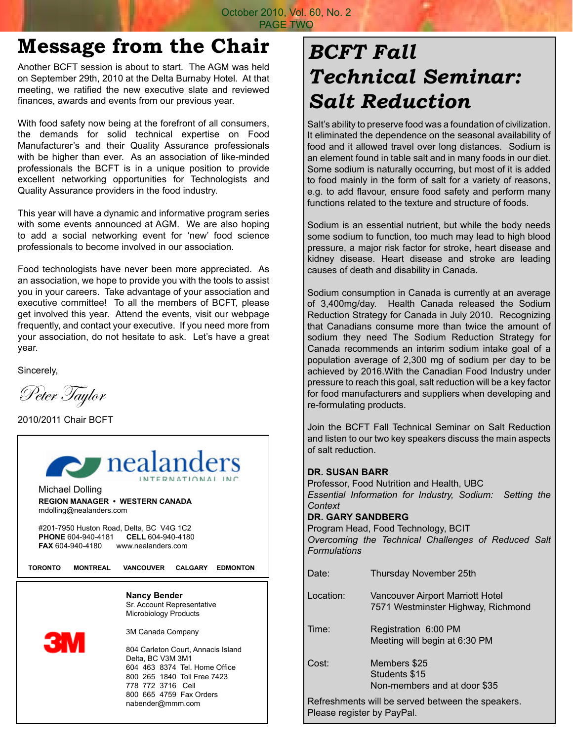October 2010, Vol. 60, No. 2 PAGE TWO

### **Message from the Chair**

Another BCFT session is about to start. The AGM was held on September 29th, 2010 at the Delta Burnaby Hotel. At that meeting, we ratified the new executive slate and reviewed finances, awards and events from our previous year.

With food safety now being at the forefront of all consumers, the demands for solid technical expertise on Food Manufacturer's and their Quality Assurance professionals with be higher than ever. As an association of like-minded professionals the BCFT is in a unique position to provide excellent networking opportunities for Technologists and Quality Assurance providers in the food industry.

This year will have a dynamic and informative program series with some events announced at AGM. We are also hoping to add a social networking event for 'new' food science professionals to become involved in our association.

Food technologists have never been more appreciated. As an association, we hope to provide you with the tools to assist you in your careers. Take advantage of your association and executive committee! To all the members of BCFT, please get involved this year. Attend the events, visit our webpage frequently, and contact your executive. If you need more from your association, do not hesitate to ask. Let's have a great year.

Sincerely,

Peter Taylor

2010/2011 Chair BCFT



## *BCFT Fall Technical Seminar: Salt Reduction*

Salt's ability to preserve food was a foundation of civilization. It eliminated the dependence on the seasonal availability of food and it allowed travel over long distances. Sodium is an element found in table salt and in many foods in our diet. Some sodium is naturally occurring, but most of it is added to food mainly in the form of salt for a variety of reasons, e.g. to add flavour, ensure food safety and perform many functions related to the texture and structure of foods.

Sodium is an essential nutrient, but while the body needs some sodium to function, too much may lead to high blood pressure, a major risk factor for stroke, heart disease and kidney disease. Heart disease and stroke are leading causes of death and disability in Canada.

Sodium consumption in Canada is currently at an average of 3,400mg/day. Health Canada released the Sodium Reduction Strategy for Canada in July 2010. Recognizing that Canadians consume more than twice the amount of sodium they need The Sodium Reduction Strategy for Canada recommends an interim sodium intake goal of a population average of 2,300 mg of sodium per day to be achieved by 2016.With the Canadian Food Industry under pressure to reach this goal, salt reduction will be a key factor for food manufacturers and suppliers when developing and re-formulating products.

Join the BCFT Fall Technical Seminar on Salt Reduction and listen to our two key speakers discuss the main aspects of salt reduction.

#### **Dr. Susan Barr**

Professor, Food Nutrition and Health, UBC *Essential Information for Industry, Sodium: Setting the Context* **Dr. Gary Sandberg**

Program Head, Food Technology, BCIT *Overcoming the Technical Challenges of Reduced Salt Formulations*

| Date:                                                                              | Thursday November 25th                                                        |  |
|------------------------------------------------------------------------------------|-------------------------------------------------------------------------------|--|
| Location:                                                                          | <b>Vancouver Airport Marriott Hotel</b><br>7571 Westminster Highway, Richmond |  |
| Time:                                                                              | Registration 6:00 PM<br>Meeting will begin at 6:30 PM                         |  |
| Cost:                                                                              | Members \$25<br>Students \$15<br>Non-members and at door \$35                 |  |
| For face a base of a book that a compact the decomposition of the compact of a set |                                                                               |  |

Refreshments will be served between the speakers. Please register by PayPal.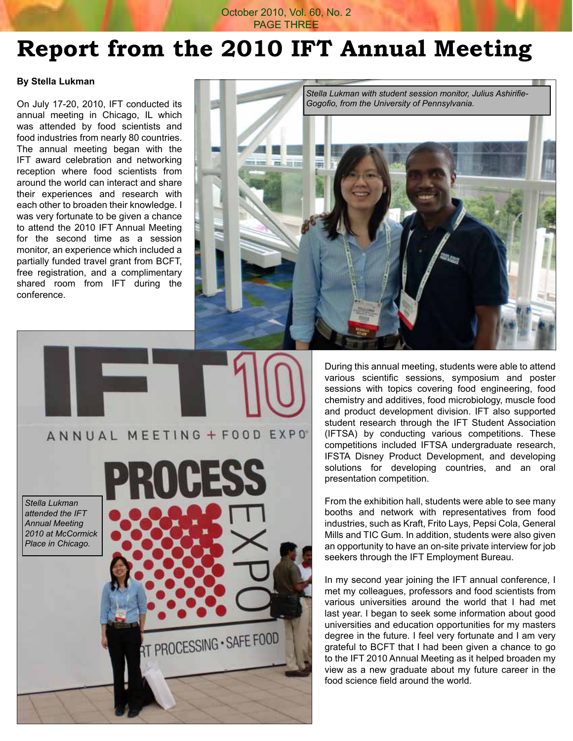#### October 2010, Vol. 60, No. 2 PAGE THREE

## **Report from the 2010 IFT Annual Meeting**

#### **By Stella Lukman**

On July 17-20, 2010, IFT conducted its annual meeting in Chicago, IL which was attended by food scientists and food industries from nearly 80 countries. The annual meeting began with the IFT award celebration and networking reception where food scientists from around the world can interact and share their experiences and research with each other to broaden their knowledge. I was very fortunate to be given a chance to attend the 2010 IFT Annual Meeting for the second time as a session monitor, an experience which included a partially funded travel grant from BCFT, free registration, and a complimentary shared room from IFT during the conference.



During this annual meeting, students were able to attend various scientific sessions, symposium and poster sessions with topics covering food engineering, food chemistry and additives, food microbiology, muscle food and product development division. IFT also supported student research through the IFT Student Association (IFTSA) by conducting various competitions. These competitions included IFTSA undergraduate research, IFSTA Disney Product Development, and developing solutions for developing countries, and an oral presentation competition.

From the exhibition hall, students were able to see many booths and network with representatives from food industries, such as Kraft, Frito Lays, Pepsi Cola, General Mills and TIC Gum. In addition, students were also given an opportunity to have an on-site private interview for job seekers through the IFT Employment Bureau.

In my second year joining the IFT annual conference, I met my colleagues, professors and food scientists from various universities around the world that I had met last year. I began to seek some information about good universities and education opportunities for my masters degree in the future. I feel very fortunate and I am very grateful to BCFT that I had been given a chance to go to the IFT 2010 Annual Meeting as it helped broaden my view as a new graduate about my future career in the food science field around the world.

*Stella Lukman attended the IFT Annual Meeting 2010 at McCormick Place in Chicago.*



ANNUAL MEETING + FOOD EXPO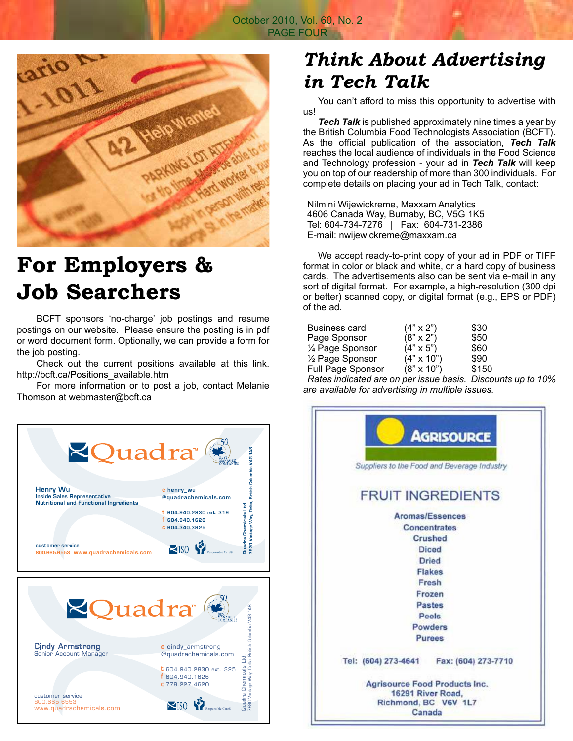

## **For Employers & Job Searchers**

 BCFT sponsors 'no-charge' job postings and resume postings on our website. Please ensure the posting is in pdf or word document form. Optionally, we can provide a form for the job posting.

 Check out the current positions available at this link. http://bcft.ca/Positions\_available.htm

 For more information or to post a job, contact Melanie Thomson at webmaster@bcft.ca



### *Think About Advertising in Tech Talk*

 You can't afford to miss this opportunity to advertise with us!

*Tech Talk* is published approximately nine times a year by the British Columbia Food Technologists Association (BCFT). As the official publication of the association, *Tech Talk*  reaches the local audience of individuals in the Food Science and Technology profession - your ad in *Tech Talk* will keep you on top of our readership of more than 300 individuals. For complete details on placing your ad in Tech Talk, contact:

Nilmini Wijewickreme, Maxxam Analytics 4606 Canada Way, Burnaby, BC, V5G 1K5 Tel: 604-734-7276 | Fax: 604-731-2386 E-mail: nwijewickreme@maxxam.ca

 We accept ready-to-print copy of your ad in PDF or TIFF format in color or black and white, or a hard copy of business cards. The advertisements also can be sent via e-mail in any sort of digital format. For example, a high-resolution (300 dpi or better) scanned copy, or digital format (e.g., EPS or PDF) of the ad.

| Business card                          | $(4" \times 2")$  | \$30     |
|----------------------------------------|-------------------|----------|
| Page Sponsor                           | $(8" \times 2")$  | \$50     |
| 1⁄4 Page Sponsor                       | $(4" \times 5")$  | \$60     |
| 1/2 Page Sponsor                       | $(4" \times 10")$ | \$90     |
| <b>Full Page Sponsor</b>               | $(8" \times 10")$ | \$150    |
| Pates indicated are an ner issue basis |                   | Discount |

*Rates indicated are on per issue basis. Discounts up to 10% are available for advertising in multiple issues.*

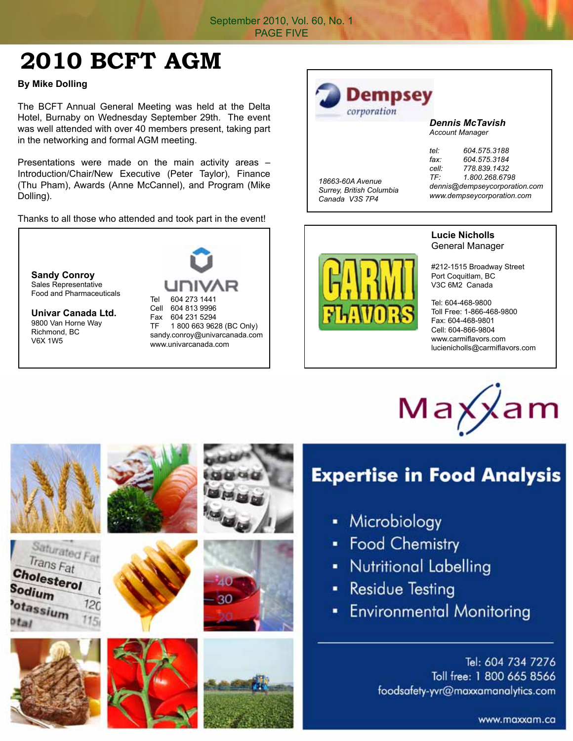## **2010 BCFT AGM**

**By Mike Dolling**

The BCFT Annual General Meeting was held at the Delta Hotel, Burnaby on Wednesday September 29th. The event was well attended with over 40 members present, taking part in the networking and formal AGM meeting.

Presentations were made on the main activity areas – Introduction/Chair/New Executive (Peter Taylor), Finance (Thu Pham), Awards (Anne McCannel), and Program (Mike Dolling).

Thanks to all those who attended and took part in the event!

**Sandy Conroy** Sales Representative Food and Pharmaceuticals

**Univar Canada Ltd.** 9800 Van Horne Way Richmond, BC V6X 1W5

Tel 604 273 1441 Cell 604 813 9996 Fax 604 231 5294

TF 1 800 663 9628 (BC Only) sandy.conroy@univarcanada.com www.univarcanada.com

#### corporation *Dennis McTavish Account Manager tel: 604.575.3188 fax: 604.575.3184*

|                                              | $\cdots$                      |                |
|----------------------------------------------|-------------------------------|----------------|
| 18663-60A Avenue<br>Surrey, British Columbia | cell:                         | 778.839.1432   |
|                                              | TF.                           | 1.800.268.6798 |
|                                              | dennis@dempseycorporation.com |                |
| Canada V3S 7P4                               | www.dempseycorporation.com    |                |

Dempsey



#### **Lucie Nicholls** General Manager

#212-1515 Broadway Street Port Coquitlam, BC V3C 6M2 Canada

Tel: 604-468-9800 Toll Free: 1-866-468-9800 Fax: 604-468-9801 Cell: 604-866-9804 www.carmiflavors.com lucienicholls@carmiflavors.com



#### **Expertise in Food Analysis**

- Microbiology
- Food Chemistry
- **Nutritional Labelling**
- **Residue Testing** ×,
- **Environmental Monitoring**

Tel: 604 734 7276 Toll free: 1 800 665 8566 foodsafety-yvr@maxxamanalytics.com

Saturated Fat Trans Fat Cholesterol Sodium otassium<br><sup>120</sup> <sup>115</sup>  $120$ 















www.maxxam.ca